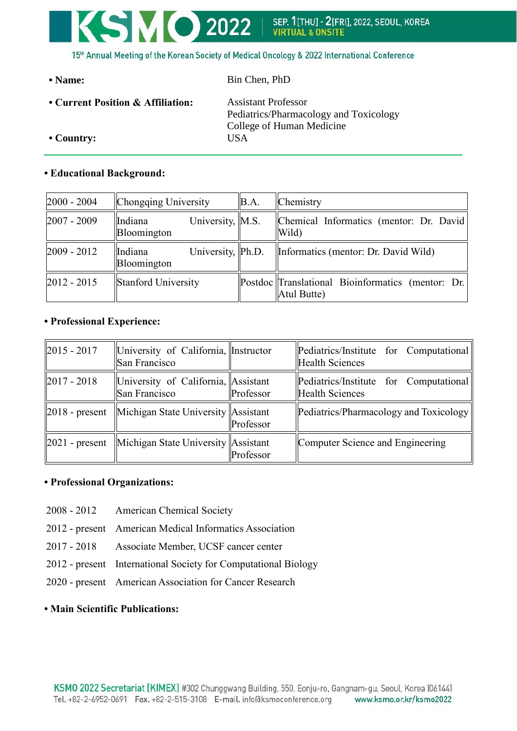

• Name: Bin Chen, PhD

**• Current Position & Affiliation:** Assistant Professor Pediatrics/Pharmacology and Toxicology College of Human Medicine **• Country:** USA

# **• Educational Background:**

| $2000 - 2004$ | Chongqing University                         | BA. | Chemistry                                                        |
|---------------|----------------------------------------------|-----|------------------------------------------------------------------|
| $2007 - 2009$ | University, M.S.<br>Indiana<br>Bloomington   |     | Chemical Informatics (mentor: Dr. David)<br>Wild)                |
| $2009 - 2012$ | University,  Ph.D.<br>Indiana<br>Bloomington |     | Informatics (mentor: Dr. David Wild)                             |
| $2012 - 2015$ | Stanford University                          |     | Postdoc Translational Bioinformatics (mentor: Dr.<br>Atul Butte) |

# **• Professional Experience:**

| $ 2015 - 2017 $ | University of California, Instructor<br>San Francisco            |           | $\left \text{Pediatrics/Institute for Computational}\right $<br><b>Health Sciences</b> |
|-----------------|------------------------------------------------------------------|-----------|----------------------------------------------------------------------------------------|
| $ 2017 - 2018 $ | University of California, Assistant<br>San Francisco             | Professor | $\left \text{Pediatrics/Institute for Computational}\right $<br>Health Sciences        |
|                 | $\ 2018$ - present Michigan State University Assistant           | Professor | $\left  \text{Pediations/Pharmacology and Toxicology} \right $                         |
|                 | $\ 2021$ - present $\ $ Michigan State University $\ $ Assistant | Professor | Computer Science and Engineering                                                       |

### **• Professional Organizations:**

- 2008 2012 American Chemical Society
- 2012 present American Medical Informatics Association
- 2017 2018 Associate Member, UCSF cancer center
- 2012 present International Society for Computational Biology
- 2020 present American Association for Cancer Research

### **• Main Scientific Publications:**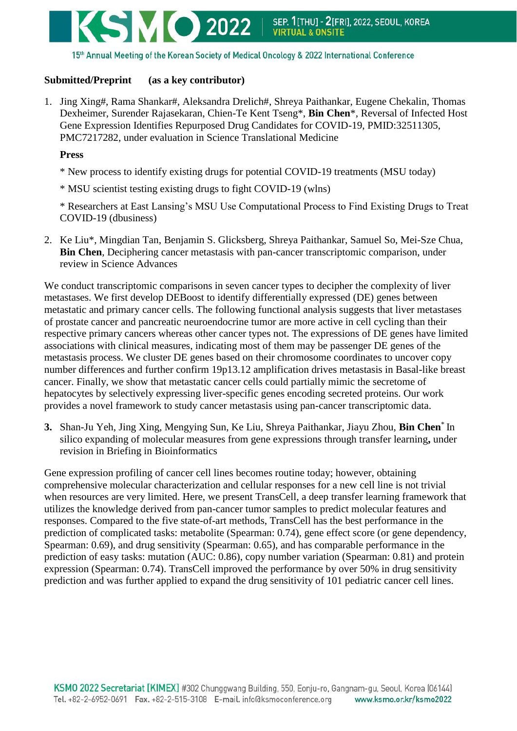

15th Annual Meeting of the Korean Society of Medical Oncology & 2022 International Conference

## **Submitted/Preprint (as a key contributor)**

1. Jing Xing#, Rama Shankar#, Aleksandra Drelich#, Shreya Paithankar, Eugene Chekalin, Thomas Dexheimer, Surender Rajasekaran, Chien-Te Kent Tseng\*, **Bin Chen**\*, Reversal of Infected Host Gene Expression Identifies Repurposed Drug Candidates for COVID-19, PMID:32511305, PMC7217282, under evaluation in Science Translational Medicine

#### **Press**

- \* New process to identify existing drugs for potential COVID-19 treatments (MSU today)
- \* MSU scientist testing existing drugs to fight COVID-19 (wlns)

\* Researchers at East Lansing's MSU Use Computational Process to Find Existing Drugs to Treat COVID-19 (dbusiness)

2. Ke Liu\*, Mingdian Tan, Benjamin S. Glicksberg, Shreya Paithankar, Samuel So, Mei-Sze Chua, **Bin Chen**, Deciphering cancer metastasis with pan-cancer transcriptomic comparison, under review in Science Advances

We conduct transcriptomic comparisons in seven cancer types to decipher the complexity of liver metastases. We first develop DEBoost to identify differentially expressed (DE) genes between metastatic and primary cancer cells. The following functional analysis suggests that liver metastases of prostate cancer and pancreatic neuroendocrine tumor are more active in cell cycling than their respective primary cancers whereas other cancer types not. The expressions of DE genes have limited associations with clinical measures, indicating most of them may be passenger DE genes of the metastasis process. We cluster DE genes based on their chromosome coordinates to uncover copy number differences and further confirm 19p13.12 amplification drives metastasis in Basal-like breast cancer. Finally, we show that metastatic cancer cells could partially mimic the secretome of hepatocytes by selectively expressing liver-specific genes encoding secreted proteins. Our work provides a novel framework to study cancer metastasis using pan-cancer transcriptomic data.

**3.** Shan-Ju Yeh, Jing Xing, Mengying Sun, Ke Liu, Shreya Paithankar, Jiayu Zhou, **Bin Chen**\* In silico expanding of molecular measures from gene expressions through transfer learning**,** under revision in Briefing in Bioinformatics

Gene expression profiling of cancer cell lines becomes routine today; however, obtaining comprehensive molecular characterization and cellular responses for a new cell line is not trivial when resources are very limited. Here, we present TransCell, a deep transfer learning framework that utilizes the knowledge derived from pan-cancer tumor samples to predict molecular features and responses. Compared to the five state-of-art methods, TransCell has the best performance in the prediction of complicated tasks: metabolite (Spearman: 0.74), gene effect score (or gene dependency, Spearman: 0.69), and drug sensitivity (Spearman: 0.65), and has comparable performance in the prediction of easy tasks: mutation (AUC: 0.86), copy number variation (Spearman: 0.81) and protein expression (Spearman: 0.74). TransCell improved the performance by over 50% in drug sensitivity prediction and was further applied to expand the drug sensitivity of 101 pediatric cancer cell lines.